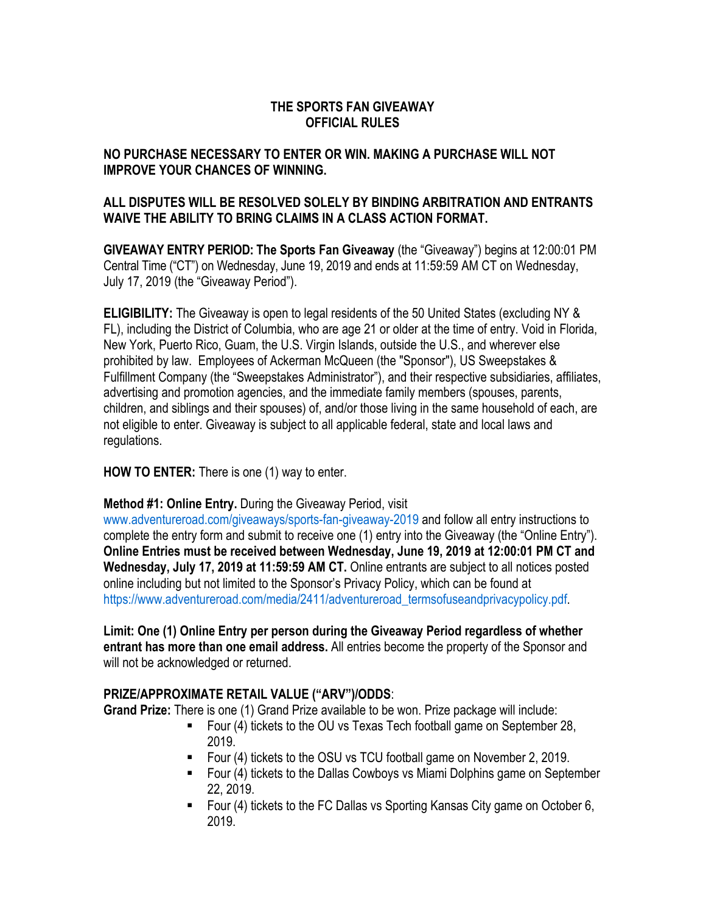### **THE SPORTS FAN GIVEAWAY OFFICIAL RULES**

### **NO PURCHASE NECESSARY TO ENTER OR WIN. MAKING A PURCHASE WILL NOT IMPROVE YOUR CHANCES OF WINNING.**

### **ALL DISPUTES WILL BE RESOLVED SOLELY BY BINDING ARBITRATION AND ENTRANTS WAIVE THE ABILITY TO BRING CLAIMS IN A CLASS ACTION FORMAT.**

**GIVEAWAY ENTRY PERIOD: The Sports Fan Giveaway** (the "Giveaway") begins at 12:00:01 PM Central Time ("CT") on Wednesday, June 19, 2019 and ends at 11:59:59 AM CT on Wednesday, July 17, 2019 (the "Giveaway Period").

**ELIGIBILITY:** The Giveaway is open to legal residents of the 50 United States (excluding NY & FL), including the District of Columbia, who are age 21 or older at the time of entry. Void in Florida, New York, Puerto Rico, Guam, the U.S. Virgin Islands, outside the U.S., and wherever else prohibited by law. Employees of Ackerman McQueen (the "Sponsor"), US Sweepstakes & Fulfillment Company (the "Sweepstakes Administrator"), and their respective subsidiaries, affiliates, advertising and promotion agencies, and the immediate family members (spouses, parents, children, and siblings and their spouses) of, and/or those living in the same household of each, are not eligible to enter. Giveaway is subject to all applicable federal, state and local laws and regulations.

### **HOW TO ENTER:** There is one (1) way to enter.

### **Method #1: Online Entry.** During the Giveaway Period, visit

www.adventureroad.com/giveaways/sports-fan-giveaway-2019 and follow all entry instructions to complete the entry form and submit to receive one (1) entry into the Giveaway (the "Online Entry"). **Online Entries must be received between Wednesday, June 19, 2019 at 12:00:01 PM CT and Wednesday, July 17, 2019 at 11:59:59 AM CT.** Online entrants are subject to all notices posted online including but not limited to the Sponsor's Privacy Policy, which can be found at https://www.adventureroad.com/media/2411/adventureroad\_termsofuseandprivacypolicy.pdf.

**Limit: One (1) Online Entry per person during the Giveaway Period regardless of whether entrant has more than one email address.** All entries become the property of the Sponsor and will not be acknowledged or returned.

### **PRIZE/APPROXIMATE RETAIL VALUE ("ARV")/ODDS**:

**Grand Prize:** There is one (1) Grand Prize available to be won. Prize package will include:

- Four (4) tickets to the OU vs Texas Tech football game on September 28, 2019.
- Four (4) tickets to the OSU vs TCU football game on November 2, 2019.
- Four (4) tickets to the Dallas Cowboys vs Miami Dolphins game on September 22, 2019.
- Four (4) tickets to the FC Dallas vs Sporting Kansas City game on October 6, 2019.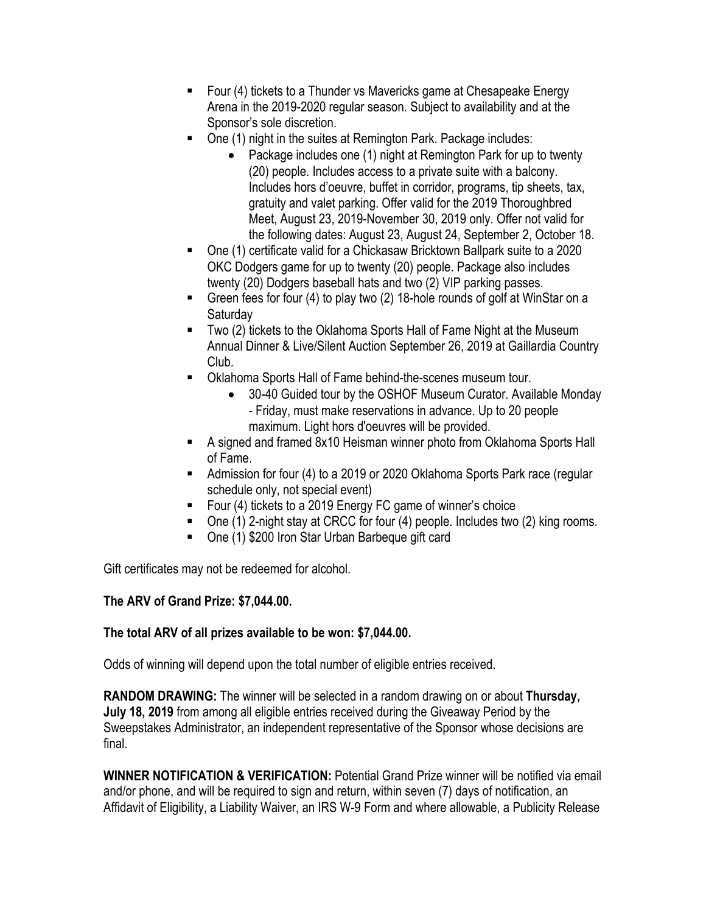- Four (4) tickets to a Thunder vs Mavericks game at Chesapeake Energy Arena in the 2019-2020 regular season. Subject to availability and at the Sponsor's sole discretion.
- One (1) night in the suites at Remington Park. Package includes:
	- Package includes one (1) night at Remington Park for up to twenty (20) people. Includes access to a private suite with a balcony. Includes hors d'oeuvre, buffet in corridor, programs, tip sheets, tax, gratuity and valet parking. Offer valid for the 2019 Thoroughbred Meet, August 23, 2019-November 30, 2019 only. Offer not valid for the following dates: August 23, August 24, September 2, October 18.
- One (1) certificate valid for a Chickasaw Bricktown Ballpark suite to a 2020 OKC Dodgers game for up to twenty (20) people. Package also includes twenty (20) Dodgers baseball hats and two (2) VIP parking passes.
- Green fees for four (4) to play two (2) 18-hole rounds of golf at WinStar on a **Saturday**
- Two (2) tickets to the Oklahoma Sports Hall of Fame Night at the Museum Annual Dinner & Live/Silent Auction September 26, 2019 at Gaillardia Country Club.
- Oklahoma Sports Hall of Fame behind-the-scenes museum tour.
	- 30-40 Guided tour by the OSHOF Museum Curator. Available Monday - Friday, must make reservations in advance. Up to 20 people maximum. Light hors d'oeuvres will be provided.
- A signed and framed 8x10 Heisman winner photo from Oklahoma Sports Hall of Fame.
- Admission for four (4) to a 2019 or 2020 Oklahoma Sports Park race (regular schedule only, not special event)
- Four (4) tickets to a 2019 Energy FC game of winner's choice
- One (1) 2-night stay at CRCC for four (4) people. Includes two (2) king rooms.
- One (1) \$200 Iron Star Urban Barbeque gift card

Gift certificates may not be redeemed for alcohol.

# **The ARV of Grand Prize: \$7,044.00.**

# **The total ARV of all prizes available to be won: \$7,044.00.**

Odds of winning will depend upon the total number of eligible entries received.

**RANDOM DRAWING:** The winner will be selected in a random drawing on or about **Thursday, July 18, 2019** from among all eligible entries received during the Giveaway Period by the Sweepstakes Administrator, an independent representative of the Sponsor whose decisions are final.

**WINNER NOTIFICATION & VERIFICATION:** Potential Grand Prize winner will be notified via email and/or phone, and will be required to sign and return, within seven (7) days of notification, an Affidavit of Eligibility, a Liability Waiver, an IRS W-9 Form and where allowable, a Publicity Release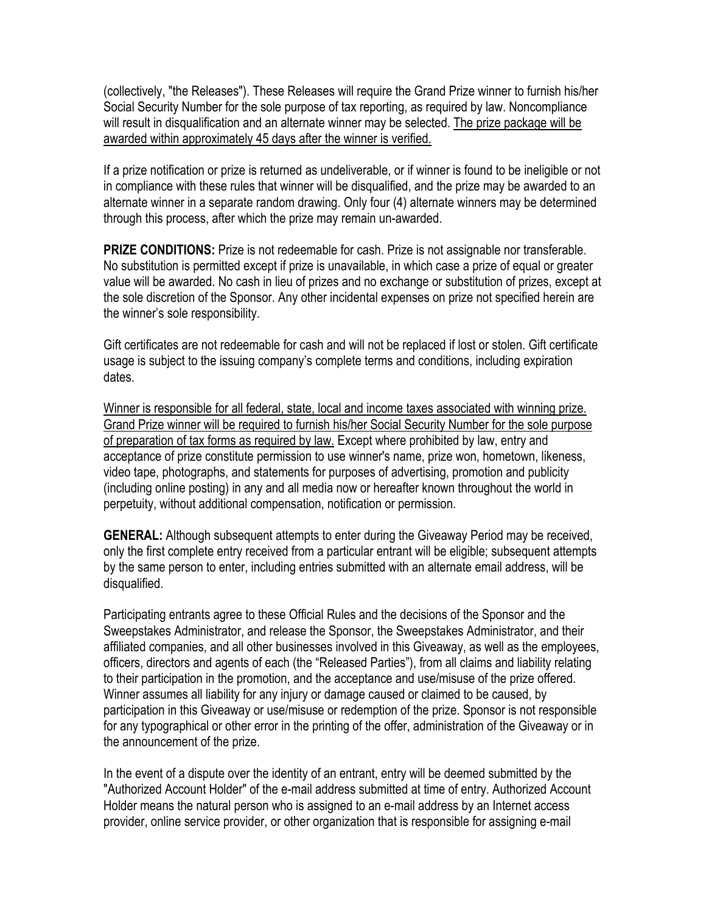(collectively, "the Releases"). These Releases will require the Grand Prize winner to furnish his/her Social Security Number for the sole purpose of tax reporting, as required by law. Noncompliance will result in disqualification and an alternate winner may be selected. The prize package will be awarded within approximately 45 days after the winner is verified.

If a prize notification or prize is returned as undeliverable, or if winner is found to be ineligible or not in compliance with these rules that winner will be disqualified, and the prize may be awarded to an alternate winner in a separate random drawing. Only four (4) alternate winners may be determined through this process, after which the prize may remain un-awarded.

**PRIZE CONDITIONS:** Prize is not redeemable for cash. Prize is not assignable nor transferable. No substitution is permitted except if prize is unavailable, in which case a prize of equal or greater value will be awarded. No cash in lieu of prizes and no exchange or substitution of prizes, except at the sole discretion of the Sponsor. Any other incidental expenses on prize not specified herein are the winner's sole responsibility.

Gift certificates are not redeemable for cash and will not be replaced if lost or stolen. Gift certificate usage is subject to the issuing company's complete terms and conditions, including expiration dates.

Winner is responsible for all federal, state, local and income taxes associated with winning prize. Grand Prize winner will be required to furnish his/her Social Security Number for the sole purpose of preparation of tax forms as required by law. Except where prohibited by law, entry and acceptance of prize constitute permission to use winner's name, prize won, hometown, likeness, video tape, photographs, and statements for purposes of advertising, promotion and publicity (including online posting) in any and all media now or hereafter known throughout the world in perpetuity, without additional compensation, notification or permission.

**GENERAL:** Although subsequent attempts to enter during the Giveaway Period may be received, only the first complete entry received from a particular entrant will be eligible; subsequent attempts by the same person to enter, including entries submitted with an alternate email address, will be disqualified.

Participating entrants agree to these Official Rules and the decisions of the Sponsor and the Sweepstakes Administrator, and release the Sponsor, the Sweepstakes Administrator, and their affiliated companies, and all other businesses involved in this Giveaway, as well as the employees, officers, directors and agents of each (the "Released Parties"), from all claims and liability relating to their participation in the promotion, and the acceptance and use/misuse of the prize offered. Winner assumes all liability for any injury or damage caused or claimed to be caused, by participation in this Giveaway or use/misuse or redemption of the prize. Sponsor is not responsible for any typographical or other error in the printing of the offer, administration of the Giveaway or in the announcement of the prize.

In the event of a dispute over the identity of an entrant, entry will be deemed submitted by the "Authorized Account Holder" of the e-mail address submitted at time of entry. Authorized Account Holder means the natural person who is assigned to an e-mail address by an Internet access provider, online service provider, or other organization that is responsible for assigning e-mail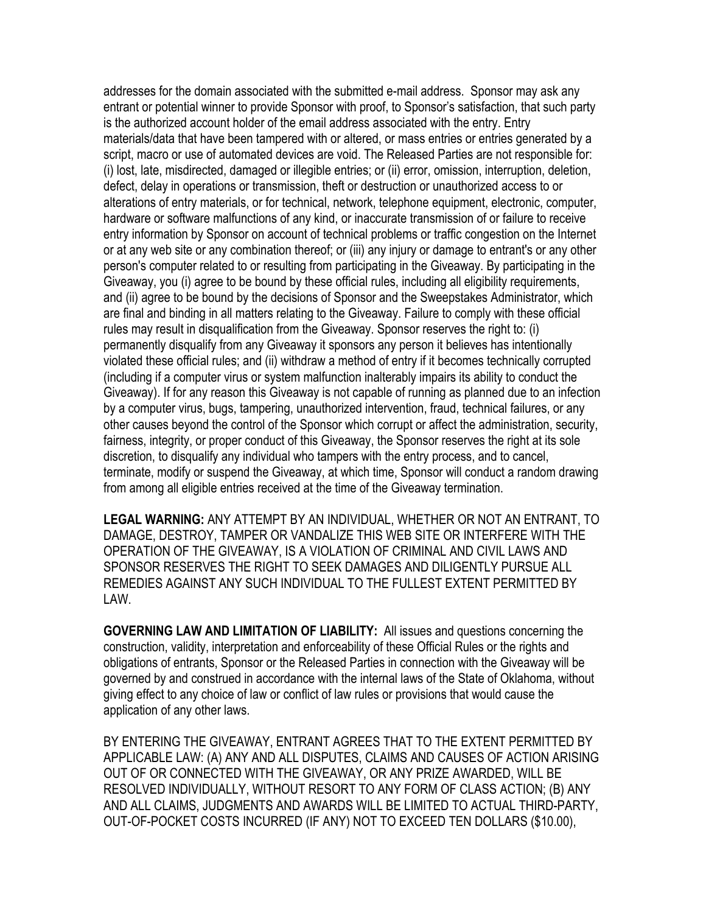addresses for the domain associated with the submitted e-mail address. Sponsor may ask any entrant or potential winner to provide Sponsor with proof, to Sponsor's satisfaction, that such party is the authorized account holder of the email address associated with the entry. Entry materials/data that have been tampered with or altered, or mass entries or entries generated by a script, macro or use of automated devices are void. The Released Parties are not responsible for: (i) lost, late, misdirected, damaged or illegible entries; or (ii) error, omission, interruption, deletion, defect, delay in operations or transmission, theft or destruction or unauthorized access to or alterations of entry materials, or for technical, network, telephone equipment, electronic, computer, hardware or software malfunctions of any kind, or inaccurate transmission of or failure to receive entry information by Sponsor on account of technical problems or traffic congestion on the Internet or at any web site or any combination thereof; or (iii) any injury or damage to entrant's or any other person's computer related to or resulting from participating in the Giveaway. By participating in the Giveaway, you (i) agree to be bound by these official rules, including all eligibility requirements, and (ii) agree to be bound by the decisions of Sponsor and the Sweepstakes Administrator, which are final and binding in all matters relating to the Giveaway. Failure to comply with these official rules may result in disqualification from the Giveaway. Sponsor reserves the right to: (i) permanently disqualify from any Giveaway it sponsors any person it believes has intentionally violated these official rules; and (ii) withdraw a method of entry if it becomes technically corrupted (including if a computer virus or system malfunction inalterably impairs its ability to conduct the Giveaway). If for any reason this Giveaway is not capable of running as planned due to an infection by a computer virus, bugs, tampering, unauthorized intervention, fraud, technical failures, or any other causes beyond the control of the Sponsor which corrupt or affect the administration, security, fairness, integrity, or proper conduct of this Giveaway, the Sponsor reserves the right at its sole discretion, to disqualify any individual who tampers with the entry process, and to cancel, terminate, modify or suspend the Giveaway, at which time, Sponsor will conduct a random drawing from among all eligible entries received at the time of the Giveaway termination.

**LEGAL WARNING:** ANY ATTEMPT BY AN INDIVIDUAL, WHETHER OR NOT AN ENTRANT, TO DAMAGE, DESTROY, TAMPER OR VANDALIZE THIS WEB SITE OR INTERFERE WITH THE OPERATION OF THE GIVEAWAY, IS A VIOLATION OF CRIMINAL AND CIVIL LAWS AND SPONSOR RESERVES THE RIGHT TO SEEK DAMAGES AND DILIGENTLY PURSUE ALL REMEDIES AGAINST ANY SUCH INDIVIDUAL TO THE FULLEST EXTENT PERMITTED BY LAW.

**GOVERNING LAW AND LIMITATION OF LIABILITY:** All issues and questions concerning the construction, validity, interpretation and enforceability of these Official Rules or the rights and obligations of entrants, Sponsor or the Released Parties in connection with the Giveaway will be governed by and construed in accordance with the internal laws of the State of Oklahoma, without giving effect to any choice of law or conflict of law rules or provisions that would cause the application of any other laws.

BY ENTERING THE GIVEAWAY, ENTRANT AGREES THAT TO THE EXTENT PERMITTED BY APPLICABLE LAW: (A) ANY AND ALL DISPUTES, CLAIMS AND CAUSES OF ACTION ARISING OUT OF OR CONNECTED WITH THE GIVEAWAY, OR ANY PRIZE AWARDED, WILL BE RESOLVED INDIVIDUALLY, WITHOUT RESORT TO ANY FORM OF CLASS ACTION; (B) ANY AND ALL CLAIMS, JUDGMENTS AND AWARDS WILL BE LIMITED TO ACTUAL THIRD-PARTY, OUT-OF-POCKET COSTS INCURRED (IF ANY) NOT TO EXCEED TEN DOLLARS (\$10.00),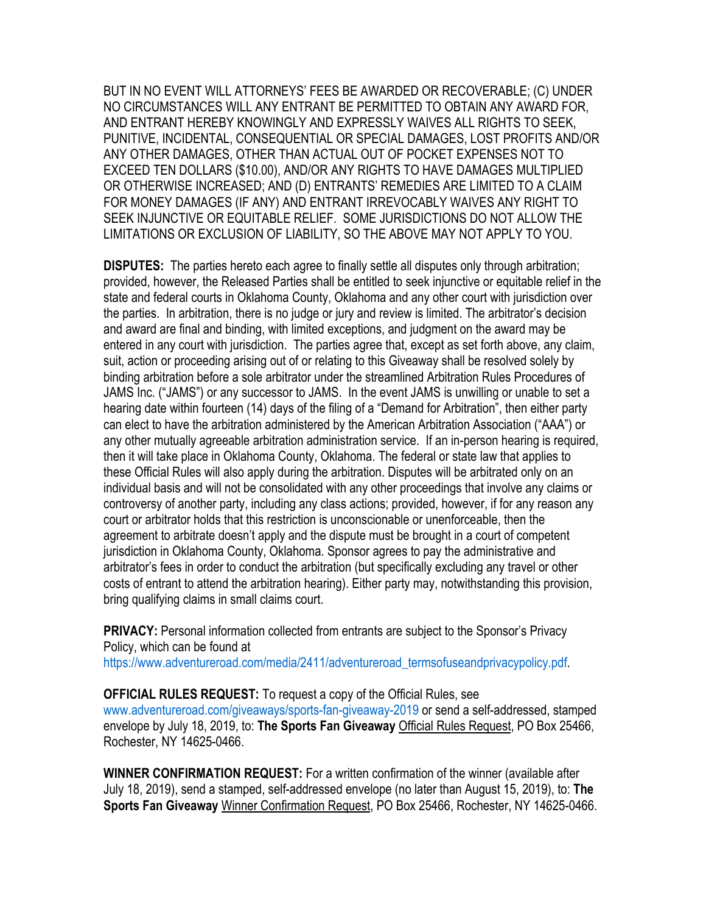BUT IN NO EVENT WILL ATTORNEYS' FEES BE AWARDED OR RECOVERABLE; (C) UNDER NO CIRCUMSTANCES WILL ANY ENTRANT BE PERMITTED TO OBTAIN ANY AWARD FOR, AND ENTRANT HEREBY KNOWINGLY AND EXPRESSLY WAIVES ALL RIGHTS TO SEEK, PUNITIVE, INCIDENTAL, CONSEQUENTIAL OR SPECIAL DAMAGES, LOST PROFITS AND/OR ANY OTHER DAMAGES, OTHER THAN ACTUAL OUT OF POCKET EXPENSES NOT TO EXCEED TEN DOLLARS (\$10.00), AND/OR ANY RIGHTS TO HAVE DAMAGES MULTIPLIED OR OTHERWISE INCREASED; AND (D) ENTRANTS' REMEDIES ARE LIMITED TO A CLAIM FOR MONEY DAMAGES (IF ANY) AND ENTRANT IRREVOCABLY WAIVES ANY RIGHT TO SEEK INJUNCTIVE OR EQUITABLE RELIEF. SOME JURISDICTIONS DO NOT ALLOW THE LIMITATIONS OR EXCLUSION OF LIABILITY, SO THE ABOVE MAY NOT APPLY TO YOU.

**DISPUTES:** The parties hereto each agree to finally settle all disputes only through arbitration; provided, however, the Released Parties shall be entitled to seek injunctive or equitable relief in the state and federal courts in Oklahoma County, Oklahoma and any other court with jurisdiction over the parties. In arbitration, there is no judge or jury and review is limited. The arbitrator's decision and award are final and binding, with limited exceptions, and judgment on the award may be entered in any court with jurisdiction. The parties agree that, except as set forth above, any claim, suit, action or proceeding arising out of or relating to this Giveaway shall be resolved solely by binding arbitration before a sole arbitrator under the streamlined Arbitration Rules Procedures of JAMS Inc. ("JAMS") or any successor to JAMS. In the event JAMS is unwilling or unable to set a hearing date within fourteen (14) days of the filing of a "Demand for Arbitration", then either party can elect to have the arbitration administered by the American Arbitration Association ("AAA") or any other mutually agreeable arbitration administration service. If an in-person hearing is required, then it will take place in Oklahoma County, Oklahoma. The federal or state law that applies to these Official Rules will also apply during the arbitration. Disputes will be arbitrated only on an individual basis and will not be consolidated with any other proceedings that involve any claims or controversy of another party, including any class actions; provided, however, if for any reason any court or arbitrator holds that this restriction is unconscionable or unenforceable, then the agreement to arbitrate doesn't apply and the dispute must be brought in a court of competent jurisdiction in Oklahoma County, Oklahoma. Sponsor agrees to pay the administrative and arbitrator's fees in order to conduct the arbitration (but specifically excluding any travel or other costs of entrant to attend the arbitration hearing). Either party may, notwithstanding this provision, bring qualifying claims in small claims court.

**PRIVACY:** Personal information collected from entrants are subject to the Sponsor's Privacy Policy, which can be found at

https://www.adventureroad.com/media/2411/adventureroad\_termsofuseandprivacypolicy.pdf.

**OFFICIAL RULES REQUEST:** To request a copy of the Official Rules, see www.adventureroad.com/giveaways/sports-fan-giveaway-2019 or send a self-addressed, stamped envelope by July 18, 2019, to: **The Sports Fan Giveaway** Official Rules Request, PO Box 25466, Rochester, NY 14625-0466.

**WINNER CONFIRMATION REQUEST:** For a written confirmation of the winner (available after July 18, 2019), send a stamped, self-addressed envelope (no later than August 15, 2019), to: **The Sports Fan Giveaway** Winner Confirmation Request, PO Box 25466, Rochester, NY 14625-0466.